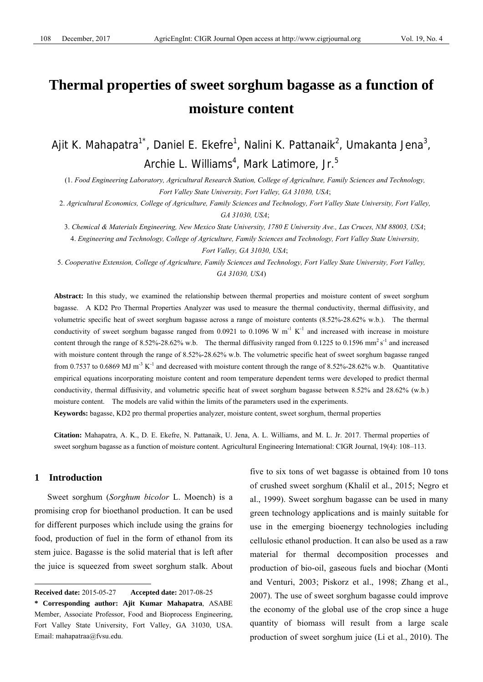# **Thermal properties of sweet sorghum bagasse as a function of moisture content**

Ajit K. Mahapatra<sup>1\*</sup>, Daniel E. Ekefre<sup>1</sup>, Nalini K. Pattanaik<sup>2</sup>, Umakanta Jena<sup>3</sup>, Archie L. Williams<sup>4</sup>, Mark Latimore, Jr.<sup>5</sup>

(1. *Food Engineering Laboratory, Agricultural Research Station, College of Agriculture, Family Sciences and Technology, Fort Valley State University, Fort Valley, GA 31030, USA*;

2. *Agricultural Economics, College of Agriculture, Family Sciences and Technology, Fort Valley State University, Fort Valley, GA 31030, USA*;

3. *Chemical & Materials Engineering, New Mexico State University, 1780 E University Ave., Las Cruces, NM 88003, USA*; 4. *Engineering and Technology, College of Agriculture, Family Sciences and Technology, Fort Valley State University,* 

*Fort Valley, GA 31030, USA*;

5. *Cooperative Extension, College of Agriculture, Family Sciences and Technology, Fort Valley State University, Fort Valley, GA 31030, USA*)

**Abstract:** In this study, we examined the relationship between thermal properties and moisture content of sweet sorghum bagasse. A KD2 Pro Thermal Properties Analyzer was used to measure the thermal conductivity, thermal diffusivity, and volumetric specific heat of sweet sorghum bagasse across a range of moisture contents (8.52%-28.62% w.b.). The thermal conductivity of sweet sorghum bagasse ranged from  $0.0921$  to  $0.1096$  W m<sup>-1</sup> K<sup>-1</sup> and increased with increase in moisture content through the range of 8.52%-28.62% w.b. The thermal diffusivity ranged from 0.1225 to 0.1596 mm<sup>2</sup> s<sup>-1</sup> and increased with moisture content through the range of 8.52%-28.62% w.b. The volumetric specific heat of sweet sorghum bagasse ranged from 0.7537 to 0.6869 MJ m<sup>-3</sup> K<sup>-1</sup> and decreased with moisture content through the range of 8.52%-28.62% w.b. Quantitative empirical equations incorporating moisture content and room temperature dependent terms were developed to predict thermal conductivity, thermal diffusivity, and volumetric specific heat of sweet sorghum bagasse between 8.52% and 28.62% (w.b.) moisture content. The models are valid within the limits of the parameters used in the experiments.

**Keywords:** bagasse, KD2 pro thermal properties analyzer, moisture content, sweet sorghum, thermal properties

**Citation:** Mahapatra, A. K., D. E. Ekefre, N. Pattanaik, U. Jena, A. L. Williams, and M. L. Jr. 2017. Thermal properties of sweet sorghum bagasse as a function of moisture content. Agricultural Engineering International: CIGR Journal, 19(4): 108–113.

# **1 Introduction**

 $\overline{a}$ 

Sweet sorghum (*Sorghum bicolor* L. Moench) is a promising crop for bioethanol production. It can be used for different purposes which include using the grains for food, production of fuel in the form of ethanol from its stem juice. Bagasse is the solid material that is left after the juice is squeezed from sweet sorghum stalk. About five to six tons of wet bagasse is obtained from 10 tons of crushed sweet sorghum (Khalil et al., 2015; Negro et al., 1999). Sweet sorghum bagasse can be used in many green technology applications and is mainly suitable for use in the emerging bioenergy technologies including cellulosic ethanol production. It can also be used as a raw material for thermal decomposition processes and production of bio-oil, gaseous fuels and biochar (Monti and Venturi, 2003; Piskorz et al., 1998; Zhang et al., 2007). The use of sweet sorghum bagasse could improve the economy of the global use of the crop since a huge quantity of biomass will result from a large scale production of sweet sorghum juice (Li et al., 2010). The

**Received date:** 2015-05-27 **Accepted date:** 2017-08-25

**<sup>\*</sup> Corresponding author: Ajit Kumar Mahapatra**, ASABE Member, Associate Professor, Food and Bioprocess Engineering, Fort Valley State University, Fort Valley, GA 31030, USA. Email: mahapatraa@fvsu.edu.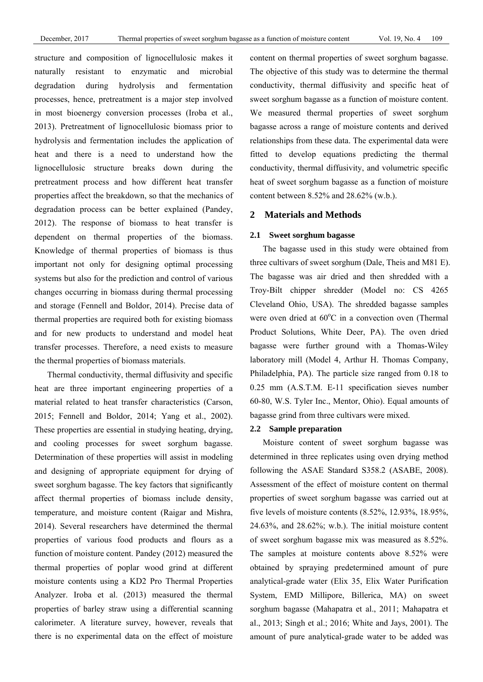structure and composition of lignocellulosic makes it naturally resistant to enzymatic and microbial degradation during hydrolysis and fermentation processes, hence, pretreatment is a major step involved in most bioenergy conversion processes (Iroba et al., 2013). Pretreatment of lignocellulosic biomass prior to hydrolysis and fermentation includes the application of heat and there is a need to understand how the lignocellulosic structure breaks down during the pretreatment process and how different heat transfer properties affect the breakdown, so that the mechanics of degradation process can be better explained (Pandey, 2012). The response of biomass to heat transfer is dependent on thermal properties of the biomass. Knowledge of thermal properties of biomass is thus important not only for designing optimal processing systems but also for the prediction and control of various changes occurring in biomass during thermal processing and storage (Fennell and Boldor, 2014). Precise data of thermal properties are required both for existing biomass and for new products to understand and model heat transfer processes. Therefore, a need exists to measure the thermal properties of biomass materials.

Thermal conductivity, thermal diffusivity and specific heat are three important engineering properties of a material related to heat transfer characteristics (Carson, 2015; Fennell and Boldor, 2014; Yang et al., 2002). These properties are essential in studying heating, drying, and cooling processes for sweet sorghum bagasse. Determination of these properties will assist in modeling and designing of appropriate equipment for drying of sweet sorghum bagasse. The key factors that significantly affect thermal properties of biomass include density, temperature, and moisture content (Raigar and Mishra, 2014). Several researchers have determined the thermal properties of various food products and flours as a function of moisture content. Pandey (2012) measured the thermal properties of poplar wood grind at different moisture contents using a KD2 Pro Thermal Properties Analyzer. Iroba et al. (2013) measured the thermal properties of barley straw using a differential scanning calorimeter. A literature survey, however, reveals that there is no experimental data on the effect of moisture

content on thermal properties of sweet sorghum bagasse. The objective of this study was to determine the thermal conductivity, thermal diffusivity and specific heat of sweet sorghum bagasse as a function of moisture content. We measured thermal properties of sweet sorghum bagasse across a range of moisture contents and derived relationships from these data. The experimental data were fitted to develop equations predicting the thermal conductivity, thermal diffusivity, and volumetric specific heat of sweet sorghum bagasse as a function of moisture content between 8.52% and 28.62% (w.b.).

# **2 Materials and Methods**

# **2.1 Sweet sorghum bagasse**

The bagasse used in this study were obtained from three cultivars of sweet sorghum (Dale, Theis and M81 E). The bagasse was air dried and then shredded with a Troy-Bilt chipper shredder (Model no: CS 4265 Cleveland Ohio, USA). The shredded bagasse samples were oven dried at  $60^{\circ}$ C in a convection oven (Thermal Product Solutions, White Deer, PA). The oven dried bagasse were further ground with a Thomas-Wiley laboratory mill (Model 4, Arthur H. Thomas Company, Philadelphia, PA). The particle size ranged from 0.18 to 0.25 mm (A.S.T.M. E-11 specification sieves number 60-80, W.S. Tyler Inc., Mentor, Ohio). Equal amounts of bagasse grind from three cultivars were mixed.

## **2.2 Sample preparation**

Moisture content of sweet sorghum bagasse was determined in three replicates using oven drying method following the ASAE Standard S358.2 (ASABE, 2008). Assessment of the effect of moisture content on thermal properties of sweet sorghum bagasse was carried out at five levels of moisture contents (8.52%, 12.93%, 18.95%, 24.63%, and 28.62%; w.b.). The initial moisture content of sweet sorghum bagasse mix was measured as 8.52%. The samples at moisture contents above 8.52% were obtained by spraying predetermined amount of pure analytical-grade water (Elix 35, Elix Water Purification System, EMD Millipore, Billerica, MA) on sweet sorghum bagasse (Mahapatra et al., 2011; Mahapatra et al., 2013; Singh et al.; 2016; White and Jays, 2001). The amount of pure analytical-grade water to be added was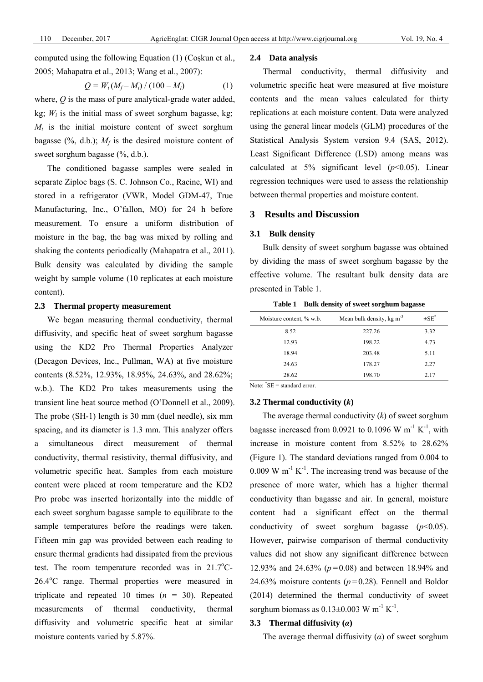computed using the following Equation (1) (Coşkun et al., 2005; Mahapatra et al., 2013; Wang et al., 2007):

$$
Q = W_i (M_f - M_i) / (100 - M_i)
$$
 (1)

where, *Q* is the mass of pure analytical-grade water added, kg;  $W_i$  is the initial mass of sweet sorghum bagasse, kg;  $M_i$  is the initial moisture content of sweet sorghum bagasse  $(\%$ , d.b.);  $M_f$  is the desired moisture content of sweet sorghum bagasse (%, d.b.).

The conditioned bagasse samples were sealed in separate Ziploc bags (S. C. Johnson Co., Racine, WI) and stored in a refrigerator (VWR, Model GDM-47, True Manufacturing, Inc., O'fallon, MO) for 24 h before measurement. To ensure a uniform distribution of moisture in the bag, the bag was mixed by rolling and shaking the contents periodically (Mahapatra et al., 2011). Bulk density was calculated by dividing the sample weight by sample volume (10 replicates at each moisture content).

### **2.3 Thermal property measurement**

We began measuring thermal conductivity, thermal diffusivity, and specific heat of sweet sorghum bagasse using the KD2 Pro Thermal Properties Analyzer (Decagon Devices, Inc., Pullman, WA) at five moisture contents (8.52%, 12.93%, 18.95%, 24.63%, and 28.62%; w.b.). The KD2 Pro takes measurements using the transient line heat source method (O'Donnell et al., 2009). The probe (SH-1) length is 30 mm (duel needle), six mm spacing, and its diameter is 1.3 mm. This analyzer offers a simultaneous direct measurement of thermal conductivity, thermal resistivity, thermal diffusivity, and volumetric specific heat. Samples from each moisture content were placed at room temperature and the KD2 Pro probe was inserted horizontally into the middle of each sweet sorghum bagasse sample to equilibrate to the sample temperatures before the readings were taken. Fifteen min gap was provided between each reading to ensure thermal gradients had dissipated from the previous test. The room temperature recorded was in  $21.7^{\circ}$ C-26.4°C range. Thermal properties were measured in triplicate and repeated 10 times  $(n = 30)$ . Repeated measurements of thermal conductivity, thermal diffusivity and volumetric specific heat at similar moisture contents varied by 5.87%.

#### **2.4 Data analysis**

Thermal conductivity, thermal diffusivity and volumetric specific heat were measured at five moisture contents and the mean values calculated for thirty replications at each moisture content. Data were analyzed using the general linear models (GLM) procedures of the Statistical Analysis System version 9.4 (SAS, 2012). Least Significant Difference (LSD) among means was calculated at  $5\%$  significant level ( $p$ <0.05). Linear regression techniques were used to assess the relationship between thermal properties and moisture content.

# **3 Results and Discussion**

# **3.1 Bulk density**

Bulk density of sweet sorghum bagasse was obtained by dividing the mass of sweet sorghum bagasse by the effective volume. The resultant bulk density data are presented in Table 1.

| Moisture content, % w.b. | Mean bulk density, kg $m^{-3}$ | $\pm$ SE <sup>*</sup> |
|--------------------------|--------------------------------|-----------------------|
| 8.52                     | 227.26                         | 3.32                  |
| 12.93                    | 198.22                         | 4.73                  |
| 18.94                    | 203.48                         | 5.11                  |
| 24.63                    | 178.27                         | 2.27                  |
| 28.62                    | 198.70                         | 2.17                  |

**Table 1 Bulk density of sweet sorghum bagasse** 

Note: \* SE = standard error.

#### **3.2 Thermal conductivity (***k***)**

The average thermal conductivity (*k*) of sweet sorghum bagasse increased from 0.0921 to 0.1096 W  $m^{-1} K^{-1}$ , with increase in moisture content from 8.52% to 28.62% (Figure 1). The standard deviations ranged from 0.004 to 0.009 W  $m^{-1} K^{-1}$ . The increasing trend was because of the presence of more water, which has a higher thermal conductivity than bagasse and air. In general, moisture content had a significant effect on the thermal conductivity of sweet sorghum bagasse  $(p<0.05)$ . However, pairwise comparison of thermal conductivity values did not show any significant difference between 12.93% and 24.63% (*p=*0.08) and between 18.94% and 24.63% moisture contents (*p=*0.28). Fennell and Boldor (2014) determined the thermal conductivity of sweet sorghum biomass as  $0.13\pm0.003$  W m<sup>-1</sup> K<sup>-1</sup>.

#### **3.3 Thermal diffusivity (***α***)**

The average thermal diffusivity  $(\alpha)$  of sweet sorghum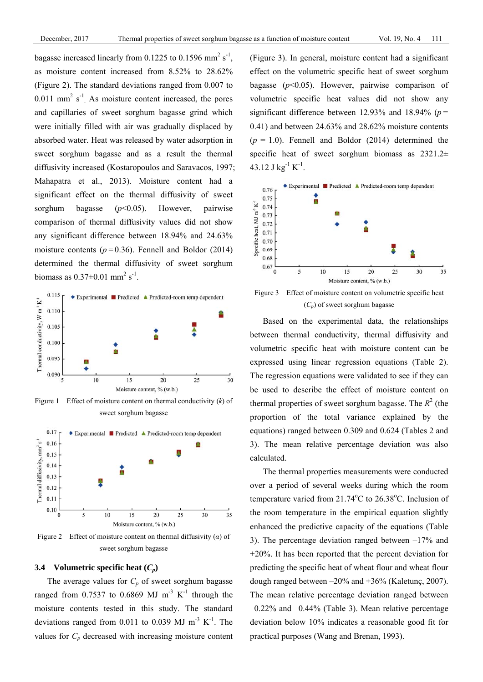bagasse increased linearly from 0.1225 to 0.1596 mm<sup>2</sup> s<sup>-1</sup>, as moisture content increased from 8.52% to 28.62% (Figure 2). The standard deviations ranged from 0.007 to  $0.011$  mm<sup>2</sup> s<sup>-1</sup>. As moisture content increased, the pores and capillaries of sweet sorghum bagasse grind which were initially filled with air was gradually displaced by absorbed water. Heat was released by water adsorption in sweet sorghum bagasse and as a result the thermal diffusivity increased (Kostaropoulos and Saravacos, 1997; Mahapatra et al., 2013). Moisture content had a significant effect on the thermal diffusivity of sweet sorghum bagasse (*p*<0.05). However, pairwise comparison of thermal diffusivity values did not show any significant difference between 18.94% and 24.63% moisture contents (*p=*0.36). Fennell and Boldor (2014) determined the thermal diffusivity of sweet sorghum biomass as  $0.37 \pm 0.01$  mm<sup>2</sup> s<sup>-1</sup>.



Figure 1 Effect of moisture content on thermal conductivity (*k*) of sweet sorghum bagasse



Figure 2 Effect of moisture content on thermal diffusivity (*α*) of sweet sorghum bagasse

#### **3.4** Volumetric specific heat  $(C_p)$

The average values for  $C_p$  of sweet sorghum bagasse ranged from 0.7537 to 0.6869 MJ  $m^{-3} K^{-1}$  through the moisture contents tested in this study. The standard deviations ranged from 0.011 to 0.039 MJ  $m^{-3} K^{-1}$ . The values for  $C_p$  decreased with increasing moisture content (Figure 3). In general, moisture content had a significant effect on the volumetric specific heat of sweet sorghum bagasse (*p*<0.05). However, pairwise comparison of volumetric specific heat values did not show any significant difference between 12.93% and 18.94% (*p=* 0.41) and between 24.63% and 28.62% moisture contents  $(p = 1.0)$ . Fennell and Boldor (2014) determined the specific heat of sweet sorghum biomass as  $2321.2\pm$ 43.12 J kg<sup>-1</sup> K<sup>-1</sup>.



Figure 3 Effect of moisture content on volumetric specific heat  $(C_p)$  of sweet sorghum bagasse

Based on the experimental data, the relationships between thermal conductivity, thermal diffusivity and volumetric specific heat with moisture content can be expressed using linear regression equations (Table 2). The regression equations were validated to see if they can be used to describe the effect of moisture content on thermal properties of sweet sorghum bagasse. The  $R^2$  (the proportion of the total variance explained by the equations) ranged between 0.309 and 0.624 (Tables 2 and 3). The mean relative percentage deviation was also calculated.

The thermal properties measurements were conducted over a period of several weeks during which the room temperature varied from  $21.74^{\circ}$ C to  $26.38^{\circ}$ C. Inclusion of the room temperature in the empirical equation slightly enhanced the predictive capacity of the equations (Table 3). The percentage deviation ranged between  $-17\%$  and +20%. It has been reported that the percent deviation for predicting the specific heat of wheat flour and wheat flour dough ranged between –20% and +36% (Kaletunç, 2007). The mean relative percentage deviation ranged between  $-0.22\%$  and  $-0.44\%$  (Table 3). Mean relative percentage deviation below 10% indicates a reasonable good fit for practical purposes (Wang and Brenan, 1993).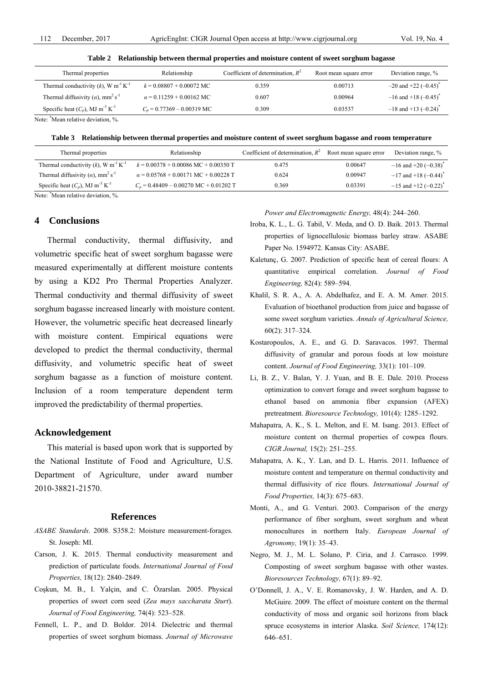| Thermal properties                                                | Relationship                    | Coefficient of determination, $R^2$ | Root mean square error | Deviation range, %                   |  |  |  |  |
|-------------------------------------------------------------------|---------------------------------|-------------------------------------|------------------------|--------------------------------------|--|--|--|--|
| Thermal conductivity $(k)$ , W m <sup>-1</sup> K <sup>-1</sup>    | $k = 0.08807 + 0.00072$ MC      | 0.359                               | 0.00713                | $-20$ and +22 $(-0.45)^{*}$          |  |  |  |  |
| Thermal diffusivity ( $\alpha$ ), mm <sup>2</sup> s <sup>-1</sup> | $\alpha$ = 0.11259 + 0.00162 MC | 0.607                               | 0.00964                | $-16$ and $+18$ (-0.45) <sup>*</sup> |  |  |  |  |
| Specific heat $(C_n)$ , MJ m <sup>-3</sup> K <sup>-1</sup>        | $C_n = 0.77369 - 0.00319$ MC    | 0.309                               | 0.03537                | $-18$ and +13 (-0.24) <sup>*</sup>   |  |  |  |  |

**Table 2 Relationship between thermal properties and moisture content of sweet sorghum bagasse** 

Note: \* Mean relative deviation, %.

**Table 3 Relationship between thermal properties and moisture content of sweet sorghum bagasse and room temperature**

| Thermal properties                                                | Relationship                                | Coefficient of determination, $R^2$ | Root mean square error | Deviation range, %                       |
|-------------------------------------------------------------------|---------------------------------------------|-------------------------------------|------------------------|------------------------------------------|
| Thermal conductivity $(k)$ , W m <sup>-1</sup> K <sup>-1</sup>    | $k = 0.00378 + 0.00086$ MC + 0.00350 T      | 0.475                               | 0.00647                | $-16$ and $+20$ ( $-0.38$ ) <sup>*</sup> |
| Thermal diffusivity ( $\alpha$ ), mm <sup>2</sup> s <sup>-1</sup> | $\alpha$ = 0.05768 + 0.00171 MC + 0.00228 T | 0.624                               | 0.00947                | $-17$ and +18 $(-0.44)^*$                |
| Specific heat $(C_p)$ , MJ m <sup>-3</sup> K <sup>-1</sup>        | $C_n$ = 0.48409 – 0.00270 MC + 0.01202 T    | 0.369                               | 0.03391                | $-15$ and +12 $(-0.22)^*$                |

Note: \* Mean relative deviation, %.

# **4 Conclusions**

Thermal conductivity, thermal diffusivity, and volumetric specific heat of sweet sorghum bagasse were measured experimentally at different moisture contents by using a KD2 Pro Thermal Properties Analyzer. Thermal conductivity and thermal diffusivity of sweet sorghum bagasse increased linearly with moisture content. However, the volumetric specific heat decreased linearly with moisture content. Empirical equations were developed to predict the thermal conductivity, thermal diffusivity, and volumetric specific heat of sweet sorghum bagasse as a function of moisture content. Inclusion of a room temperature dependent term improved the predictability of thermal properties.

#### **Acknowledgement**

This material is based upon work that is supported by the National Institute of Food and Agriculture, U.S. Department of Agriculture, under award number 2010-38821-21570.

#### **References**

- *ASABE Standards*. 2008. S358.2: Moisture measurement-forages. St. Joseph: MI.
- Carson, J. K. 2015. Thermal conductivity measurement and prediction of particulate foods. *International Journal of Food Properties,* 18(12): 2840–2849.
- Coşkun, M. B., I. Yalçin, and C. Özarslan. 2005. Physical properties of sweet corn seed (*Zea mays saccharata Sturt*). *Journal of Food Engineering,* 74(4): 523–528.
- Fennell, L. P., and D. Boldor. 2014. Dielectric and thermal properties of sweet sorghum biomass. *Journal of Microwave*

*Power and Electromagnetic Energy,* 48(4): 244–260.

- Iroba, K. L., L. G. Tabil, V. Meda, and O. D. Baik. 2013. Thermal properties of lignocellulosic biomass barley straw. ASABE Paper No. 1594972. Kansas City: ASABE.
- Kaletunç, G. 2007. Prediction of specific heat of cereal flours: A quantitative empirical correlation. *Journal of Food Engineering,* 82(4): 589–594.
- Khalil, S. R. A., A. A. Abdelhafez, and E. A. M. Amer. 2015. Evaluation of bioethanol production from juice and bagasse of some sweet sorghum varieties. *Annals of Agricultural Science,* 60(2): 317–324.
- Kostaropoulos, A. E., and G. D. Saravacos. 1997. Thermal diffusivity of granular and porous foods at low moisture content. *Journal of Food Engineering,* 33(1): 101–109.
- Li, B. Z., V. Balan, Y. J. Yuan, and B. E. Dale. 2010. Process optimization to convert forage and sweet sorghum bagasse to ethanol based on ammonia fiber expansion (AFEX) pretreatment. *Bioresource Technology,* 101(4): 1285–1292.
- Mahapatra, A. K., S. L. Melton, and E. M. Isang. 2013. Effect of moisture content on thermal properties of cowpea flours. *CIGR Journal,* 15(2): 251–255.
- Mahapatra, A. K., Y. Lan, and D. L. Harris. 2011. Influence of moisture content and temperature on thermal conductivity and thermal diffusivity of rice flours. *International Journal of Food Properties,* 14(3): 675–683.
- Monti, A., and G. Venturi. 2003. Comparison of the energy performance of fiber sorghum, sweet sorghum and wheat monocultures in northern Italy. *European Journal of Agronomy,* 19(1): 35–43.
- Negro, M. J., M. L. Solano, P. Ciria, and J. Carrasco. 1999. Composting of sweet sorghum bagasse with other wastes. *Bioresources Technology,* 67(1): 89–92.
- O'Donnell, J. A., V. E. Romanovsky, J. W. Harden, and A. D. McGuire. 2009. The effect of moisture content on the thermal conductivity of moss and organic soil horizons from black spruce ecosystems in interior Alaska. *Soil Science,* 174(12): 646–651.